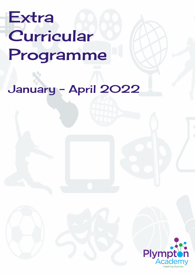## Extra Curricular Programme

## January - April 2022

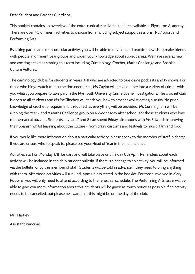Dear Student and Parent / Guardians,

This booklet contains an overview of the extra-curricular activities that are available at Plympton Academy. There are over 40 different activities to choose from including subject support sessions; PE / Sport and Performing Arts.

By taking part in an extra-curricular activity, you will be able to develop and practice new skills; make friends with people in different year groups and widen your knowledge about subject areas. We have several new and exciting activities starting this term including Criminology, Crochet, Maths Challenge and Spanish Culture Vultures.

The criminology club is for students in years 9-11 who are addicted to true crime podcasts and tv shows. For those who binge watch true crime documentaries, Ms Caylor will delve deeper into a variety of crimes with you whilst you prepare to take part in the Plymouth University Crime Scene investigations. The crochet club is open to all students and Ms McGlinchey will teach you how to crochet whilst eating biscuits. No prior knowledge of crochet or equipment is required, as everything will be provided. Ms Cunningham will be running the Year 7 and 8 Maths Challenge group on a Wednesday after school, for those students who love mathematical puzzles. Students in years 7 and 8 can spend Friday afternoons with Ms Edwards improving their Spanish whilst learning about the culture - from crazy customs and festivals to music, film and food.

If you would like more information about a particular activity, please speak to the member of staff in charge. If you are unsure who to speak to, please see your Head of Year in the first instance.

Activities start on Monday 17th January and will take place until Friday 8th April. Reminders about each activity will be included in the daily student bulletin. If there is a change to an activity, you will be informed via the bulletin or by the member of staff. Students will be told in advance if they need to bring anything with them. Afternoon activities will run until 4pm unless stated in the booklet. For those involved in Mary Poppins, you will only need to attend according to the rehearsal schedule. The Performing Arts team will be able to give you more information about this. Students will be given as much notice as possible if an activity needs to be cancelled, but please be aware that this might be on the day of the club.

Mr I Hartley

Assistant Principal.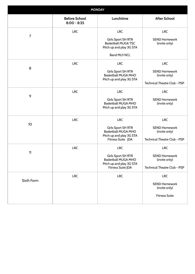| <b>MONDAY</b>   |                                       |                                                                                                            |                                                                       |
|-----------------|---------------------------------------|------------------------------------------------------------------------------------------------------------|-----------------------------------------------------------------------|
|                 | <b>Before School</b><br>$8:00 - 8:35$ | Lunchtime                                                                                                  | <b>After School</b>                                                   |
|                 | <b>LRC</b>                            | <b>LRC</b>                                                                                                 | <b>LRC</b>                                                            |
| $\overline{7}$  |                                       | <b>Girls Sport SH RTR</b><br><b>Basketball MUGA TSC</b><br>Pitch up and play 3G STA<br><b>Band MU1 NCL</b> | <b>SEND Homework</b><br>(invite only)                                 |
| 8               | <b>LRC</b>                            | <b>LRC</b>                                                                                                 | <b>LRC</b>                                                            |
|                 |                                       | Girls Sport SH RTR<br><b>Basketball MUGA MHO</b><br>Pitch up and play 3G STA                               | <b>SEND Homework</b><br>(invite only)<br>Technical Theatre Club - PSP |
|                 | <b>LRC</b>                            | <b>LRC</b>                                                                                                 | <b>LRC</b>                                                            |
| 9               |                                       | Girls Sport SH RTR<br><b>Basketball MUGA MHO</b><br>Pitch up and play 3G STA                               | <b>SEND Homework</b><br>(invite only)                                 |
|                 | <b>LRC</b>                            | <b>LRC</b>                                                                                                 | <b>LRC</b>                                                            |
| 10 <sup>1</sup> |                                       | <b>Girls Sport SH RTR</b><br><b>Basketball MUGA MHO</b><br>Pitch up and play 3G STA<br>Fitness Suite JDA   | <b>SEND Homework</b><br>(invite only)<br>Technical Theatre Club - PSP |
| 11              | <b>LRC</b>                            | <b>LRC</b>                                                                                                 | <b>LRC</b>                                                            |
|                 |                                       | <b>Girls Sport SH RTR</b><br><b>Basketball MUGA MHO</b><br>Pitch up and play 3G STA<br>Fitness Suite JDA   | <b>SEND Homework</b><br>(invite only)<br>Technical Theatre Club - PSP |
|                 | <b>LRC</b>                            | <b>LRC</b>                                                                                                 | <b>LRC</b>                                                            |
| Sixth Form      |                                       |                                                                                                            | <b>SEND Homework</b><br>(invite only)<br><b>Fitness Suite</b>         |
|                 |                                       |                                                                                                            |                                                                       |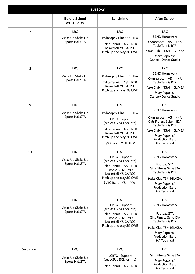| <b>TUESDAY</b> |                                                          |                                                                                                                                                                                                     |                                                                                                                                                                                                              |
|----------------|----------------------------------------------------------|-----------------------------------------------------------------------------------------------------------------------------------------------------------------------------------------------------|--------------------------------------------------------------------------------------------------------------------------------------------------------------------------------------------------------------|
|                | <b>Before School</b><br>$8:00 - 8:35$                    | Lunchtime                                                                                                                                                                                           | <b>After School</b>                                                                                                                                                                                          |
| $\overline{7}$ | <b>LRC</b><br>Wake Up Shake Up<br><b>Sports Hall STA</b> | <b>LRC</b><br>Philosophy Film EB6 TPA<br>Table Tennis AS RTR<br><b>Basketball MUGA TSC</b><br>Pitch up and play 3G CWE                                                                              | <b>LRC</b><br><b>SEND Homework</b><br>Gymnastics AS KHA<br><b>Table Tennis RTR</b><br>Make Club T3/4 IGL/KBA<br>Mary Poppins*<br>Dance - Dance Studio                                                        |
| 8              | <b>LRC</b><br>Wake Up Shake Up<br><b>Sports Hall STA</b> | <b>LRC</b><br>Philosophy Film EB6 TPA<br>Table Tennis AS<br><b>RTR</b><br><b>Basketball MUGA TSC</b><br>Pitch up and play 3G CWE                                                                    | <b>LRC</b><br><b>SEND Homework</b><br>Gymnastics AS KHA<br><b>Table Tennis RTR</b><br>Make Club T3/4 IGL/KBA<br>Mary Poppins*<br>Dance - Dance Studio                                                        |
| 9              | <b>LRC</b><br>Wake Up Shake Up<br><b>Sports Hall STA</b> | <b>LRC</b><br>Philosophy Film EB6 TPA<br>LGBTQ+ Support<br>(see ASU / SCL for info)<br>Table Tennis AS<br><b>RTR</b><br><b>Basketball MUGA TSC</b><br>Pitch up and play 3G CWE<br>9/10 Band MU1 MWI | <b>LRC</b><br><b>SEND Homework</b><br>Gymnastics AS<br>KHA<br>Girls Fitness Suite JDA<br><b>Table Tennis RTR</b><br>Make Club T3/4 IGL/KBA<br>Mary Poppins*<br><b>Production Band</b><br><b>MP</b> Technical |
| 10             | <b>LRC</b><br>Wake Up Shake Up<br><b>Sports Hall STA</b> | <b>LRC</b><br>LGBTQ+ Support<br>(see ASU / SCL for info)<br>Table Tennis AS RTR<br><b>Fitness Suite BMO</b><br><b>Basketball MUGA TSC</b><br>Pitch up and play 3G CWE<br>9/10 Band MU1 MWI          | <b>LRC</b><br><b>SEND Homework</b><br><b>Football STA</b><br>Girls Fitness Suite JDA<br><b>Table Tennis RTR</b><br>Make Club T3/4 IGL/KBA<br>Mary Poppins*<br><b>Production Band</b><br><b>MP Technical</b>  |
| 11             | <b>LRC</b><br>Wake Up Shake Up<br><b>Sports Hall STA</b> | <b>LRC</b><br>LGBTQ+ Support<br>(see ASU / SCL for info)<br>Table Tennis AS RTR<br><b>Fitness Suite BMO</b><br><b>Basketball MUGA TSC</b><br>Pitch up and play 3G CWE                               | <b>LRC</b><br><b>SEND Homework</b><br><b>Football STA</b><br>Girls Fitness Suite JDA<br><b>Table Tennis RTR</b><br>Make Club T3/4 IGL/KBA<br>Mary Poppins*<br><b>Production Band</b><br><b>MP Technical</b>  |
| Sixth Form     | <b>LRC</b><br>Wake Up Shake Up<br>Sports Hall STA        | <b>LRC</b><br>LGBTQ+ Support<br>(see ASU / SCL for info)<br>Table Tennis AS<br><b>RTR</b>                                                                                                           | <b>LRC</b><br>Girls Fitness Suite JDA<br>Mary Poppins*<br><b>Production Band</b><br><b>MP Technical</b>                                                                                                      |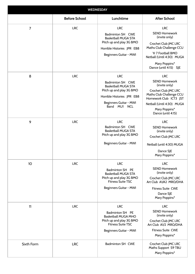| <b>WEDNESDAY</b> |                      |                                                                                                                                                                  |                                                                                                                                                                                                       |
|------------------|----------------------|------------------------------------------------------------------------------------------------------------------------------------------------------------------|-------------------------------------------------------------------------------------------------------------------------------------------------------------------------------------------------------|
|                  | <b>Before School</b> | Lunchtime                                                                                                                                                        | <b>After School</b>                                                                                                                                                                                   |
| $\overline{7}$   | <b>LRC</b>           | <b>LRC</b><br>Badminton SH CWE<br><b>Basketball MUGA STA</b><br>Pitch up and play 3G BMO<br>Horrible Histories JPR EB8<br>Beginners Guitar - MWI                 | <b>LRC</b><br><b>SEND Homework</b><br>(invite only)<br>Crochet Club JMC LRC<br>Maths Club Challenge CCU<br>Yr 7 Football BMO<br>Netball (Until 4:30) MUGA<br>Mary Poppins*<br>Dance (until 4:15) SJE  |
| 8                | <b>LRC</b>           | <b>LRC</b><br>Badminton SH CWE<br><b>Basketball MUGA STA</b><br>Pitch up and play 3G BMO<br>Horrible Histories JPR EB8<br>Beginners Guitar - MWI<br>Band MU1 NCL | <b>LRC</b><br><b>SEND Homework</b><br>(invite only)<br>Crochet Club JMC LRC<br>Maths Club Challenge CCU<br>Homework Club ICT3 JST<br>Netball (Until 4:30) MUGA<br>Mary Poppins*<br>Dance (until 4:15) |
| 9                | <b>LRC</b>           | <b>LRC</b><br>Badminton SH CWE<br><b>Basketball MUGA STA</b><br>Pitch up and play 3G BMO<br>Beginners Guitar - MWI                                               | <b>LRC</b><br><b>SEND Homework</b><br>(invite only)<br>Crochet Club JMC LRC<br>Netball (until 4:30) MUGA<br>Dance SJE<br>Mary Poppins*                                                                |
| 10 <sup>1</sup>  | <b>LRC</b>           | <b>LRC</b><br>Badminton SH PE<br><b>Basketball MUGA STA</b><br>Pitch up and play 3G BMO<br><b>Fitness Suite TSC</b><br>Beginners Guitar - MWI                    | <b>LRC</b><br><b>SEND Homework</b><br>(invite only)<br>Crochet Club JMC LRC<br>Art Club A1/A2 MRO/DHA<br><b>Fitness Suite CWE</b><br>Dance SJE<br>Mary Poppins*                                       |
| 11               | <b>LRC</b>           | <b>LRC</b><br>Badminton SH PE<br><b>Basketball MUGA MHO</b><br>Pitch up and play 3G BMO<br><b>Fitness Suite TSC</b><br>Beginners Guitar - MWI                    | <b>LRC</b><br><b>SEND Homework</b><br>(invite only)<br>Crochet Club JMC LRC<br>Art Club A1/2 MRO/DHA<br><b>Fitness Suite CWE</b><br>Mary Poppins*                                                     |
| Sixth Form       | <b>LRC</b>           | Badminton SH CWE                                                                                                                                                 | Crochet Club JMC LRC<br>Maths Support S9 TBU<br>Mary Poppins*                                                                                                                                         |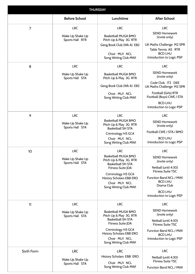| <b>THURSDAY</b> |                                                   |                                                                                                                                                                                                                 |                                                                                                                                                                                                                   |
|-----------------|---------------------------------------------------|-----------------------------------------------------------------------------------------------------------------------------------------------------------------------------------------------------------------|-------------------------------------------------------------------------------------------------------------------------------------------------------------------------------------------------------------------|
|                 | <b>Before School</b>                              | Lunchtime                                                                                                                                                                                                       | <b>After School</b>                                                                                                                                                                                               |
| $\overline{7}$  | <b>LRC</b><br>Wake Up Shake Up<br>Sports Hall RTR | <b>LRC</b><br><b>Basketball MUGA BMO</b><br>Pitch Up & Play 3G RTR<br>Geog Book Club (Wk A) EB2<br>Choir MU1 NCL<br>Song Writing Club MWI                                                                       | <b>LRC</b><br><b>SEND Homework</b><br>(invite only)<br>UK Maths Challenge M2 SPR<br>Table Tennis AS RTR<br><b>BCD LHU</b><br>Introduction to Logic PSP                                                            |
| 8               | <b>LRC</b><br>Wake Up Shake Up<br>Sports Hall STA | <b>LRC</b><br><b>Basketball MUGA BMO</b><br>Pitch Up & Play 3G RTR<br>Geog Book Club (Wk A) EB2<br>Choir MU1 NCL<br>Song Writing Club MWI                                                                       | <b>LRC</b><br><b>SEND Homework</b><br>(invite only)<br>Code Club IT2 DKE<br>UK Maths Challenge M2 SPR<br>Football (Girls) RTR<br>Football (Boys) CWE / STA<br><b>BCD LHU</b><br>Introduction to Logic PSP         |
| 9               | <b>LRC</b><br>Wake Up Shake Up<br>Sports Hall STA | <b>LRC</b><br><b>Basketball MUGA BMO</b><br>Pitch Up & Play 3G RTR<br><b>Basketball SH STA</b><br>Criminology H5 GCA<br>Choir MU1 NCL<br>Song Writing Club MWI                                                  | <b>LRC</b><br><b>SEND Homework</b><br>(invite only)<br>Football CWE / STA / BMO<br><b>BCD LHU</b><br>Introduction to Logic PSP                                                                                    |
| 10              | <b>LRC</b><br>Wake Up Shake Up<br>Sports Hall STA | <b>LRC</b><br><b>Basketball MUGA BMO</b><br>Pitch Up & Play 3G RTR<br><b>Basketball SH STA</b><br>Fitness Suite JDA<br>Criminology H5 GCA<br>History Scholars EB8 ERO<br>Choir MU1 NCL<br>Song Writing Club MWI | <b>LRC</b><br><b>SEND Homework</b><br>(invite only)<br>Netball (until 4:30)<br><b>Fitness Suite TSC</b><br>Function Band NCL / MWI<br><b>BCD LHU</b><br>Drama Club<br><b>BCD LHU</b><br>Introduction to Logic PSP |
| 11              | <b>LRC</b><br>Wake Up Shake Up<br>Sports Hall STA | <b>LRC</b><br><b>Basketball MUGA BMO</b><br>Pitch Up & Play 3G RTR<br><b>Basketball SH STA</b><br>Fitness Suite JDA<br>Criminology H5 GCA<br>History Scholars EB8 ERO<br>Choir MU1 NCL<br>Song Writing Club MWI | <b>LRC</b><br><b>SEND Homework</b><br>(invite only)<br>Netball (until 4:30)<br><b>Fitness Suite TSC</b><br>Function Band NCL / MWI<br><b>BCD LHU</b><br>Introduction to Logic PSP                                 |
| Sixth Form      | <b>LRC</b><br>Wake Up Shake Up<br>Sports Hall STA | <b>LRC</b><br>History Scholars EB8 ERO<br>Choir MU1 NCL<br>Song Writing Club MWI                                                                                                                                | <b>LRC</b><br>Netball (until 4:30)<br><b>Fitness Suite TSC</b><br>Function Band NCL / MWI                                                                                                                         |